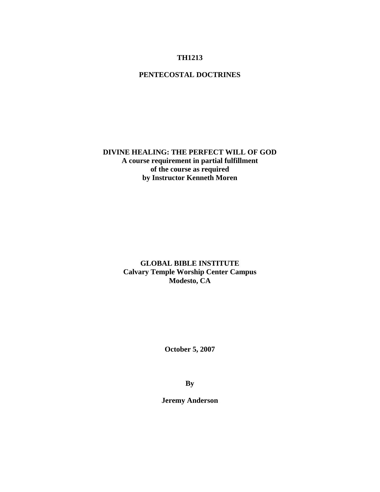# **TH1213**

# **PENTECOSTAL DOCTRINES**

# **DIVINE HEALING: THE PERFECT WILL OF GOD A course requirement in partial fulfillment of the course as required by Instructor Kenneth Moren**

**GLOBAL BIBLE INSTITUTE Calvary Temple Worship Center Campus Modesto, CA** 

**October 5, 2007** 

**By** 

**Jeremy Anderson**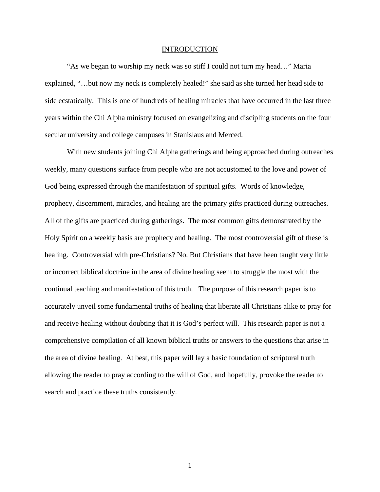### INTRODUCTION

"As we began to worship my neck was so stiff I could not turn my head…" Maria explained, "…but now my neck is completely healed!" she said as she turned her head side to side ecstatically. This is one of hundreds of healing miracles that have occurred in the last three years within the Chi Alpha ministry focused on evangelizing and discipling students on the four secular university and college campuses in Stanislaus and Merced.

With new students joining Chi Alpha gatherings and being approached during outreaches weekly, many questions surface from people who are not accustomed to the love and power of God being expressed through the manifestation of spiritual gifts. Words of knowledge, prophecy, discernment, miracles, and healing are the primary gifts practiced during outreaches. All of the gifts are practiced during gatherings. The most common gifts demonstrated by the Holy Spirit on a weekly basis are prophecy and healing. The most controversial gift of these is healing. Controversial with pre-Christians? No. But Christians that have been taught very little or incorrect biblical doctrine in the area of divine healing seem to struggle the most with the continual teaching and manifestation of this truth. The purpose of this research paper is to accurately unveil some fundamental truths of healing that liberate all Christians alike to pray for and receive healing without doubting that it is God's perfect will. This research paper is not a comprehensive compilation of all known biblical truths or answers to the questions that arise in the area of divine healing. At best, this paper will lay a basic foundation of scriptural truth allowing the reader to pray according to the will of God, and hopefully, provoke the reader to search and practice these truths consistently.

1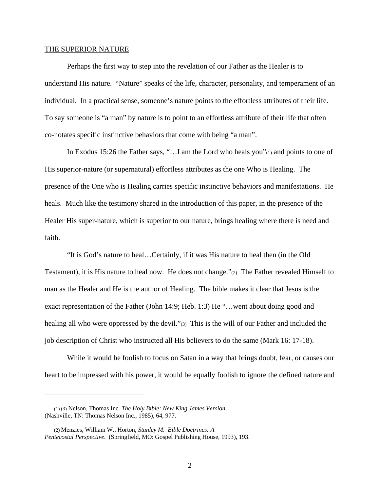#### THE SUPERIOR NATURE

 Perhaps the first way to step into the revelation of our Father as the Healer is to understand His nature. "Nature" speaks of the life, character, personality, and temperament of an individual. In a practical sense, someone's nature points to the effortless attributes of their life. To say someone is "a man" by nature is to point to an effortless attribute of their life that often co-notates specific instinctive behaviors that come with being "a man".

 In Exodus 15:26 the Father says, "…I am the Lord who heals you"(1) and points to one of His superior-nature (or supernatural) effortless attributes as the one Who is Healing. The presence of the One who is Healing carries specific instinctive behaviors and manifestations. He heals. Much like the testimony shared in the introduction of this paper, in the presence of the Healer His super-nature, which is superior to our nature, brings healing where there is need and faith.

 "It is God's nature to heal…Certainly, if it was His nature to heal then (in the Old Testament), it is His nature to heal now. He does not change."(2) The Father revealed Himself to man as the Healer and He is the author of Healing. The bible makes it clear that Jesus is the exact representation of the Father (John 14:9; Heb. 1:3) He "…went about doing good and healing all who were oppressed by the devil."(3) This is the will of our Father and included the job description of Christ who instructed all His believers to do the same (Mark 16: 17-18).

While it would be foolish to focus on Satan in a way that brings doubt, fear, or causes our heart to be impressed with his power, it would be equally foolish to ignore the defined nature and

\_\_\_\_\_\_\_\_\_\_\_\_\_\_\_\_\_\_\_\_\_\_\_\_\_\_\_

 <sup>(1) (3)</sup> Nelson, Thomas Inc. *The Holy Bible: New King James Version*. (Nashville, TN: Thomas Nelson Inc., 1985), 64, 977.

 <sup>(2)</sup> Menzies, William W., Horton, *Stanley M. Bible Doctrines: A Pentecostal Perspective*. (Springfield, MO: Gospel Publishing House, 1993), 193.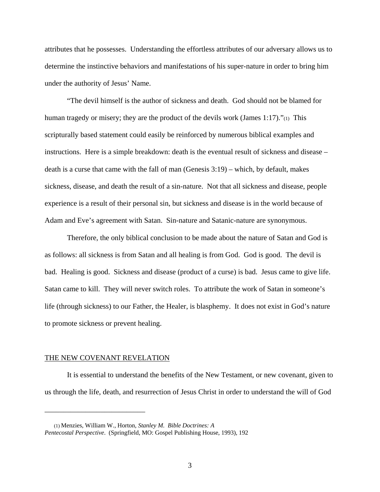attributes that he possesses. Understanding the effortless attributes of our adversary allows us to determine the instinctive behaviors and manifestations of his super-nature in order to bring him under the authority of Jesus' Name.

"The devil himself is the author of sickness and death. God should not be blamed for human tragedy or misery; they are the product of the devils work (James 1:17)." $\alpha$ ) This scripturally based statement could easily be reinforced by numerous biblical examples and instructions. Here is a simple breakdown: death is the eventual result of sickness and disease – death is a curse that came with the fall of man (Genesis 3:19) – which, by default, makes sickness, disease, and death the result of a sin-nature. Not that all sickness and disease, people experience is a result of their personal sin, but sickness and disease is in the world because of Adam and Eve's agreement with Satan. Sin-nature and Satanic-nature are synonymous.

Therefore, the only biblical conclusion to be made about the nature of Satan and God is as follows: all sickness is from Satan and all healing is from God. God is good. The devil is bad. Healing is good. Sickness and disease (product of a curse) is bad. Jesus came to give life. Satan came to kill. They will never switch roles. To attribute the work of Satan in someone's life (through sickness) to our Father, the Healer, is blasphemy. It does not exist in God's nature to promote sickness or prevent healing.

#### THE NEW COVENANT REVELATION

\_\_\_\_\_\_\_\_\_\_\_\_\_\_\_\_\_\_\_\_\_\_\_\_\_\_\_

It is essential to understand the benefits of the New Testament, or new covenant, given to us through the life, death, and resurrection of Jesus Christ in order to understand the will of God

 <sup>(1)</sup> Menzies, William W., Horton, *Stanley M. Bible Doctrines: A Pentecostal Perspective*. (Springfield, MO: Gospel Publishing House, 1993), 192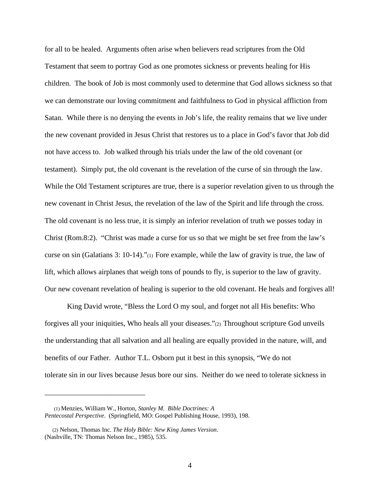for all to be healed. Arguments often arise when believers read scriptures from the Old Testament that seem to portray God as one promotes sickness or prevents healing for His children. The book of Job is most commonly used to determine that God allows sickness so that we can demonstrate our loving commitment and faithfulness to God in physical affliction from Satan. While there is no denying the events in Job's life, the reality remains that we live under the new covenant provided in Jesus Christ that restores us to a place in God's favor that Job did not have access to. Job walked through his trials under the law of the old covenant (or testament). Simply put, the old covenant is the revelation of the curse of sin through the law. While the Old Testament scriptures are true, there is a superior revelation given to us through the new covenant in Christ Jesus, the revelation of the law of the Spirit and life through the cross. The old covenant is no less true, it is simply an inferior revelation of truth we posses today in Christ (Rom.8:2). "Christ was made a curse for us so that we might be set free from the law's curse on sin (Galatians 3: 10-14)."(1) Fore example, while the law of gravity is true, the law of lift, which allows airplanes that weigh tons of pounds to fly, is superior to the law of gravity. Our new covenant revelation of healing is superior to the old covenant. He heals and forgives all!

King David wrote, "Bless the Lord O my soul, and forget not all His benefits: Who forgives all your iniquities, Who heals all your diseases."(2) Throughout scripture God unveils the understanding that all salvation and all healing are equally provided in the nature, will, and benefits of our Father. Author T.L. Osborn put it best in this synopsis, "We do not tolerate sin in our lives because Jesus bore our sins. Neither do we need to tolerate sickness in

\_\_\_\_\_\_\_\_\_\_\_\_\_\_\_\_\_\_\_\_\_\_\_\_\_\_\_

 <sup>(1)</sup> Menzies, William W., Horton, *Stanley M. Bible Doctrines: A Pentecostal Perspective*. (Springfield, MO: Gospel Publishing House, 1993), 198.

 <sup>(2)</sup> Nelson, Thomas Inc. *The Holy Bible: New King James Version*. (Nashville, TN: Thomas Nelson Inc., 1985), 535.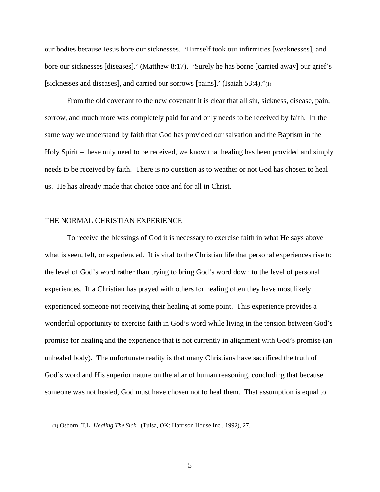our bodies because Jesus bore our sicknesses. 'Himself took our infirmities [weaknesses], and bore our sicknesses [diseases].' (Matthew 8:17). 'Surely he has borne [carried away] our grief's [sicknesses and diseases], and carried our sorrows [pains].' (Isaiah 53:4)."(1)

From the old covenant to the new covenant it is clear that all sin, sickness, disease, pain, sorrow, and much more was completely paid for and only needs to be received by faith. In the same way we understand by faith that God has provided our salvation and the Baptism in the Holy Spirit – these only need to be received, we know that healing has been provided and simply needs to be received by faith. There is no question as to weather or not God has chosen to heal us. He has already made that choice once and for all in Christ.

### THE NORMAL CHRISTIAN EXPERIENCE

\_\_\_\_\_\_\_\_\_\_\_\_\_\_\_\_\_\_\_\_\_\_\_\_\_\_\_

To receive the blessings of God it is necessary to exercise faith in what He says above what is seen, felt, or experienced. It is vital to the Christian life that personal experiences rise to the level of God's word rather than trying to bring God's word down to the level of personal experiences. If a Christian has prayed with others for healing often they have most likely experienced someone not receiving their healing at some point. This experience provides a wonderful opportunity to exercise faith in God's word while living in the tension between God's promise for healing and the experience that is not currently in alignment with God's promise (an unhealed body). The unfortunate reality is that many Christians have sacrificed the truth of God's word and His superior nature on the altar of human reasoning, concluding that because someone was not healed, God must have chosen not to heal them. That assumption is equal to

 <sup>(1)</sup> Osborn, T.L. *Healing The Sick*. (Tulsa, OK: Harrison House Inc., 1992), 27.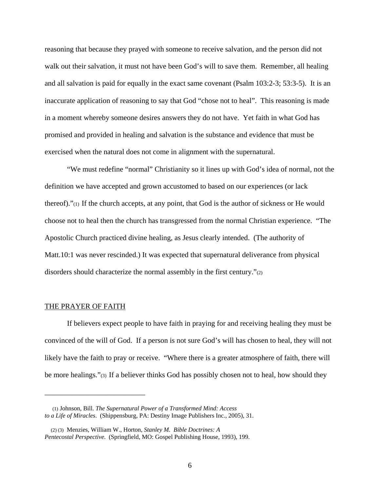reasoning that because they prayed with someone to receive salvation, and the person did not walk out their salvation, it must not have been God's will to save them. Remember, all healing and all salvation is paid for equally in the exact same covenant (Psalm 103:2-3; 53:3-5). It is an inaccurate application of reasoning to say that God "chose not to heal". This reasoning is made in a moment whereby someone desires answers they do not have. Yet faith in what God has promised and provided in healing and salvation is the substance and evidence that must be exercised when the natural does not come in alignment with the supernatural.

"We must redefine "normal" Christianity so it lines up with God's idea of normal, not the definition we have accepted and grown accustomed to based on our experiences (or lack thereof)."(1) If the church accepts, at any point, that God is the author of sickness or He would choose not to heal then the church has transgressed from the normal Christian experience. "The Apostolic Church practiced divine healing, as Jesus clearly intended. (The authority of Matt.10:1 was never rescinded.) It was expected that supernatural deliverance from physical disorders should characterize the normal assembly in the first century."(2)

## THE PRAYER OF FAITH

\_\_\_\_\_\_\_\_\_\_\_\_\_\_\_\_\_\_\_\_\_\_\_\_\_\_\_

 If believers expect people to have faith in praying for and receiving healing they must be convinced of the will of God. If a person is not sure God's will has chosen to heal, they will not likely have the faith to pray or receive. "Where there is a greater atmosphere of faith, there will be more healings."(3) If a believer thinks God has possibly chosen not to heal, how should they

 <sup>(1)</sup> Johnson, Bill. *The Supernatural Power of a Transformed Mind: Access to a Life of Miracles*. (Shippensburg, PA: Destiny Image Publishers Inc., 2005), 31.

 <sup>(2) (3)</sup> Menzies, William W., Horton, *Stanley M. Bible Doctrines: A Pentecostal Perspective*. (Springfield, MO: Gospel Publishing House, 1993), 199.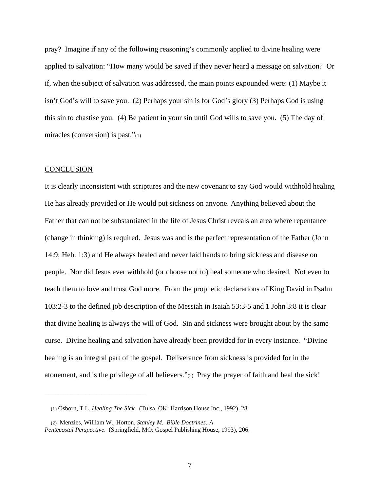pray? Imagine if any of the following reasoning's commonly applied to divine healing were applied to salvation: "How many would be saved if they never heard a message on salvation? Or if, when the subject of salvation was addressed, the main points expounded were: (1) Maybe it isn't God's will to save you. (2) Perhaps your sin is for God's glory (3) Perhaps God is using this sin to chastise you. (4) Be patient in your sin until God wills to save you. (5) The day of miracles (conversion) is past."(1)

### **CONCLUSION**

It is clearly inconsistent with scriptures and the new covenant to say God would withhold healing He has already provided or He would put sickness on anyone. Anything believed about the Father that can not be substantiated in the life of Jesus Christ reveals an area where repentance (change in thinking) is required. Jesus was and is the perfect representation of the Father (John 14:9; Heb. 1:3) and He always healed and never laid hands to bring sickness and disease on people. Nor did Jesus ever withhold (or choose not to) heal someone who desired. Not even to teach them to love and trust God more. From the prophetic declarations of King David in Psalm 103:2-3 to the defined job description of the Messiah in Isaiah 53:3-5 and 1 John 3:8 it is clear that divine healing is always the will of God. Sin and sickness were brought about by the same curse. Divine healing and salvation have already been provided for in every instance. "Divine healing is an integral part of the gospel. Deliverance from sickness is provided for in the atonement, and is the privilege of all believers."(2) Pray the prayer of faith and heal the sick!

\_\_\_\_\_\_\_\_\_\_\_\_\_\_\_\_\_\_\_\_\_\_\_\_\_\_\_

 <sup>(1)</sup> Osborn, T.L. *Healing The Sick*. (Tulsa, OK: Harrison House Inc., 1992), 28.

 <sup>(2)</sup> Menzies, William W., Horton, *Stanley M. Bible Doctrines: A Pentecostal Perspective*. (Springfield, MO: Gospel Publishing House, 1993), 206.